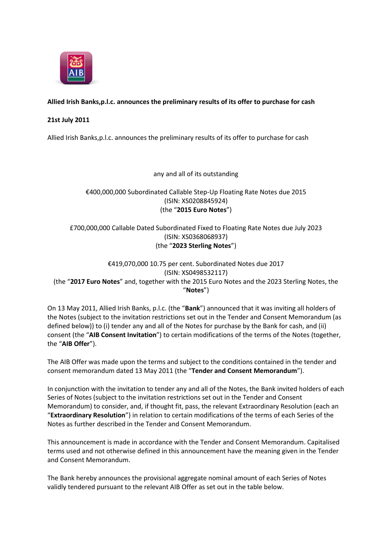

## **Allied Irish Banks,p.l.c. announces the preliminary results of its offer to purchase for cash**

## **21st July 2011**

Allied Irish Banks,p.l.c. announces the preliminary results of its offer to purchase for cash

any and all of its outstanding

€400,000,000 Subordinated Callable Step-Up Floating Rate Notes due 2015 (ISIN: XS0208845924) (the "**2015 Euro Notes**")

# £700,000,000 Callable Dated Subordinated Fixed to Floating Rate Notes due July 2023 (ISIN: XS0368068937) (the "**2023 Sterling Notes**")

€419,070,000 10.75 per cent. Subordinated Notes due 2017 (ISIN: XS0498532117) (the "**2017 Euro Notes**" and, together with the 2015 Euro Notes and the 2023 Sterling Notes, the "**Notes**")

On 13 May 2011, Allied Irish Banks, p.l.c. (the "**Bank**") announced that it was inviting all holders of the Notes (subject to the invitation restrictions set out in the Tender and Consent Memorandum (as defined below)) to (i) tender any and all of the Notes for purchase by the Bank for cash, and (ii) consent (the "**AIB Consent Invitation**") to certain modifications of the terms of the Notes (together, the "**AIB Offer**").

The AIB Offer was made upon the terms and subject to the conditions contained in the tender and consent memorandum dated 13 May 2011 (the "**Tender and Consent Memorandum**").

In conjunction with the invitation to tender any and all of the Notes, the Bank invited holders of each Series of Notes (subject to the invitation restrictions set out in the Tender and Consent Memorandum) to consider, and, if thought fit, pass, the relevant Extraordinary Resolution (each an "**Extraordinary Resolution**") in relation to certain modifications of the terms of each Series of the Notes as further described in the Tender and Consent Memorandum.

This announcement is made in accordance with the Tender and Consent Memorandum. Capitalised terms used and not otherwise defined in this announcement have the meaning given in the Tender and Consent Memorandum.

The Bank hereby announces the provisional aggregate nominal amount of each Series of Notes validly tendered pursuant to the relevant AIB Offer as set out in the table below.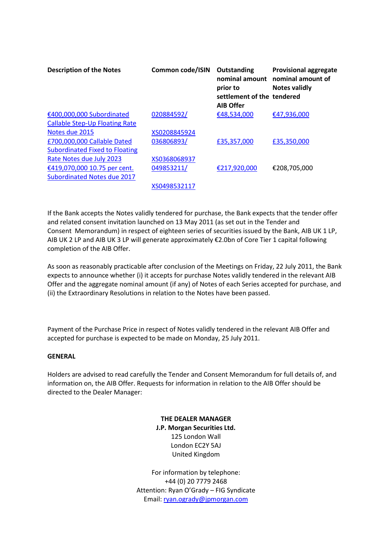| <b>Description of the Notes</b>       | Common code/ISIN | Outstanding<br>nominal amount<br>prior to<br>settlement of the tendered<br><b>AIB Offer</b> | <b>Provisional aggregate</b><br>nominal amount of<br><b>Notes validly</b> |
|---------------------------------------|------------------|---------------------------------------------------------------------------------------------|---------------------------------------------------------------------------|
| €400,000,000 Subordinated             | 020884592/       | €48,534,000                                                                                 | €47,936,000                                                               |
| <b>Callable Step-Up Floating Rate</b> |                  |                                                                                             |                                                                           |
| Notes due 2015                        | XS0208845924     |                                                                                             |                                                                           |
| £700,000,000 Callable Dated           | 036806893/       | £35,357,000                                                                                 | £35,350,000                                                               |
| <b>Subordinated Fixed to Floating</b> |                  |                                                                                             |                                                                           |
| Rate Notes due July 2023              | XS0368068937     |                                                                                             |                                                                           |
| €419,070,000 10.75 per cent.          | 049853211/       | €217,920,000                                                                                | €208,705,000                                                              |
| <b>Subordinated Notes due 2017</b>    |                  |                                                                                             |                                                                           |
|                                       | XS0498532117     |                                                                                             |                                                                           |

If the Bank accepts the Notes validly tendered for purchase, the Bank expects that the tender offer and related consent invitation launched on 13 May 2011 (as set out in the Tender and Consent Memorandum) in respect of eighteen series of securities issued by the Bank, AIB UK 1 LP, AIB UK 2 LP and AIB UK 3 LP will generate approximately €2.0bn of Core Tier 1 capital following completion of the AIB Offer.

As soon as reasonably practicable after conclusion of the Meetings on Friday, 22 July 2011, the Bank expects to announce whether (i) it accepts for purchase Notes validly tendered in the relevant AIB Offer and the aggregate nominal amount (if any) of Notes of each Series accepted for purchase, and (ii) the Extraordinary Resolutions in relation to the Notes have been passed.

Payment of the Purchase Price in respect of Notes validly tendered in the relevant AIB Offer and accepted for purchase is expected to be made on Monday, 25 July 2011.

#### **GENERAL**

Holders are advised to read carefully the Tender and Consent Memorandum for full details of, and information on, the AIB Offer. Requests for information in relation to the AIB Offer should be directed to the Dealer Manager:

> **THE DEALER MANAGER J.P. Morgan Securities Ltd.** 125 London Wall London EC2Y 5AJ United Kingdom

For information by telephone: +44 (0) 20 7779 2468 Attention: Ryan O'Grady – FIG Syndicate Email: [ryan.ogrady@jpmorgan.com](mailto:ryan.ogrady@jpmorgan.com)